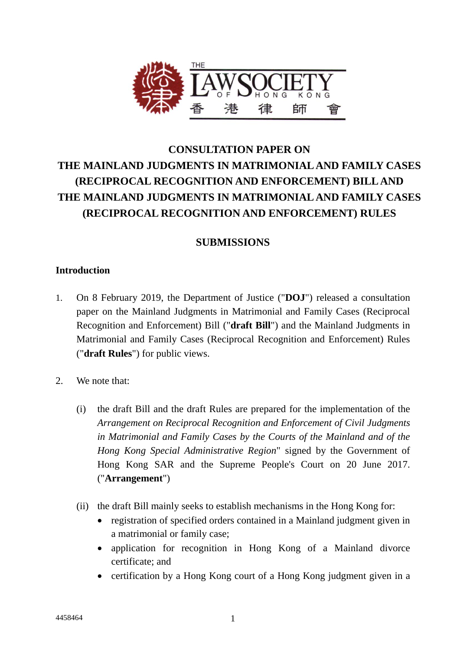

# **CONSULTATION PAPER ON THE MAINLAND JUDGMENTS IN MATRIMONIAL AND FAMILY CASES (RECIPROCAL RECOGNITION AND ENFORCEMENT) BILL AND THE MAINLAND JUDGMENTS IN MATRIMONIAL AND FAMILY CASES (RECIPROCAL RECOGNITION AND ENFORCEMENT) RULES**

## **SUBMISSIONS**

### **Introduction**

- 1. On 8 February 2019, the Department of Justice ("**DOJ**") released a consultation paper on the Mainland Judgments in Matrimonial and Family Cases (Reciprocal Recognition and Enforcement) Bill ("**draft Bill**") and the Mainland Judgments in Matrimonial and Family Cases (Reciprocal Recognition and Enforcement) Rules ("**draft Rules**") for public views.
- 2. We note that:
	- (i) the draft Bill and the draft Rules are prepared for the implementation of the *Arrangement on Reciprocal Recognition and Enforcement of Civil Judgments in Matrimonial and Family Cases by the Courts of the Mainland and of the Hong Kong Special Administrative Region*" signed by the Government of Hong Kong SAR and the Supreme People's Court on 20 June 2017. ("**Arrangement**")
	- (ii) the draft Bill mainly seeks to establish mechanisms in the Hong Kong for:
		- registration of specified orders contained in a Mainland judgment given in a matrimonial or family case;
		- application for recognition in Hong Kong of a Mainland divorce certificate; and
		- certification by a Hong Kong court of a Hong Kong judgment given in a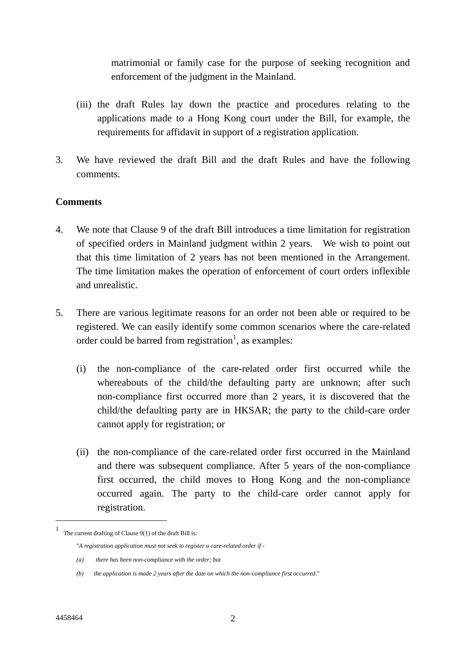matrimonial or family case for the purpose of seeking recognition and enforcement of the judgment in the Mainland.

- (iii) the draft Rules lay down the practice and procedures relating to the applications made to a Hong Kong court under the Bill, for example, the requirements for affidavit in support of a registration application.
- 3. We have reviewed the draft Bill and the draft Rules and have the following comments.

#### **Comments**

- 4. We note that Clause 9 of the draft Bill introduces a time limitation for registration of specified orders in Mainland judgment within 2 years. We wish to point out that this time limitation of 2 years has not been mentioned in the Arrangement. The time limitation makes the operation of enforcement of court orders inflexible and unrealistic.
- 5. There are various legitimate reasons for an order not been able or required to be registered. We can easily identify some common scenarios where the care-related order could be barred from registration<sup>1</sup>, as examples:
	- (i) the non-compliance of the care-related order first occurred while the whereabouts of the child/the defaulting party are unknown; after such non-compliance first occurred more than 2 years, it is discovered that the child/the defaulting party are in HKSAR; the party to the child-care order cannot apply for registration; or
	- (ii) the non-compliance of the care-related order first occurred in the Mainland and there was subsequent compliance. After 5 years of the non-compliance first occurred, the child moves to Hong Kong and the non-compliance occurred again. The party to the child-care order cannot apply for registration.

1

<sup>1</sup> The current drafting of Clause 9(1) of the draft Bill is:

<sup>&</sup>quot;*A registration application must not seek to register a care-related order if -*

*<sup>(</sup>a) there has been non-compliance with the order; but*

*<sup>(</sup>b) the application is made 2 years after the date on which the non-compliance first occurred*."